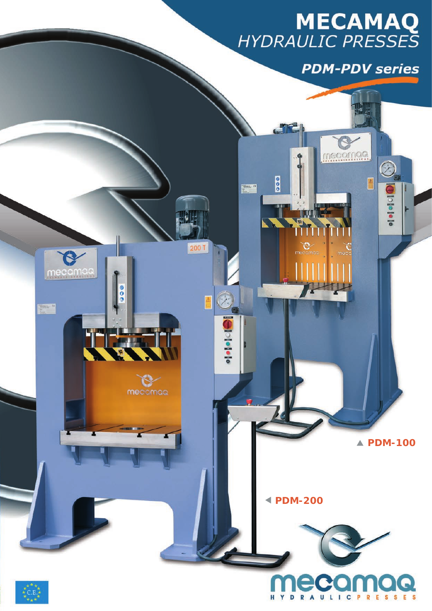# **MECAMAQ**<br>HYDRAULIC PRESSES

**PDM-PDV series** 

mecomoo

800

W

Ĉ

 $\sum_{i=1}^{n}$ 

200 T

O

**Opel of a form** 

 $\overline{\mathcal{O}}$ 

**Dolle le le** 

ESSES

R

 $\mathbb{A}$ 



H

Y

D

R A

ULICP



C

mecamas

 $\frac{1}{2}$  and  $\frac{1}{2}$ 

800

وأنار والأزا

mecamag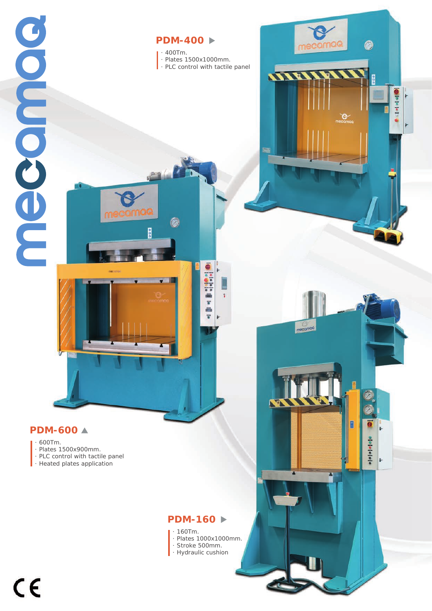

### **PDM-400**

*· 400Tm. · Plates 1500x1000mm. · PLC control with tactile panel*

ē

**Halled Hall** 

ë  $\overline{\bullet}$ Ä  $\overline{\phantom{a}}$ 

WEIDE

mecamag

B

O

Ł

**ofofofofofo**  $\ddot{\phantom{1}}$  **OD** Polei Ŀ

 $\mathcal{C}$ 

## **PDM-600**

#### *· 600Tm.*

- *· Plates 1500x900mm.*
- *· PLC control with tactile panel*
- *· Heated plates application*

#### **PDM-160**

- *· 160Tm. · Plates 1000x1000mm.*
- *· Stroke 500mm.*
- *· Hydraulic cushion*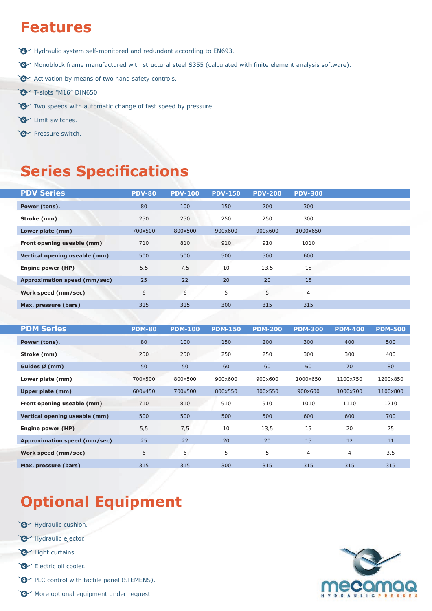# **Features**

- Hydraulic system self-monitored and redundant according to EN693.
- Monoblock frame manufactured with structural steel S355 (calculated with finite element analysis software).
- Activation by means of two hand safety controls.
- T-slots "M16" DIN650
- Two speeds with automatic change of fast speed by pressure.
- **C** Limit switches.
- Pressure switch.

## **Series Specifications**

| <b>PDV Series</b>             | <b>PDV-80</b> | <b>PDV-100</b> | <b>PDV-150</b> | <b>PDV-200</b> | <b>PDV-300</b> |  |
|-------------------------------|---------------|----------------|----------------|----------------|----------------|--|
| Power (tons).                 | 80            | 100            | 150            | 200            | 300            |  |
| Stroke (mm)                   | 250           | 250            | 250            | 250            | 300            |  |
| Lower plate (mm)              | 700x500       | 800x500        | 900x600        | 900x600        | 1000x650       |  |
| Front opening useable (mm)    | 710           | 810            | 910            | 910            | 1010           |  |
| Vertical opening useable (mm) | 500           | 500            | 500            | 500            | 600            |  |
| Engine power (HP)             | 5, 5          | 7,5            | 10             | 13,5           | 15             |  |
| Approximation speed (mm/sec)  | 25            | 22             | 20             | 20             | 15             |  |
| Work speed (mm/sec)           | 6             | 6              | 5              | 5              | $\overline{4}$ |  |
| Max. pressure (bars)          | 315           | 315            | 300            | 315            | 315            |  |
|                               |               |                |                |                |                |  |

| <b>PDM Series</b>             | <b>PDM-80</b> | <b>PDM-100</b> | <b>PDM-150</b> | <b>PDM-200</b> | <b>PDM-300</b> | <b>PDM-400</b> | <b>PDM-500</b> |
|-------------------------------|---------------|----------------|----------------|----------------|----------------|----------------|----------------|
| Power (tons).                 | 80            | 100            | 150            | 200            | 300            | 400            | 500            |
| Stroke (mm)                   | 250           | 250            | 250            | 250            | 300            | 300            | 400            |
| Guides $\emptyset$ (mm)       | 50            | 50             | 60             | 60             | 60             | 70             | 80             |
| Lower plate (mm)              | 700x500       | 800x500        | 900x600        | 900x600        | 1000x650       | 1100x750       | 1200x850       |
| Upper plate (mm)              | 600x450       | 700x500        | 800x550        | 800x550        | 900x600        | 1000x700       | 1100x800       |
| Front opening useable (mm)    | 710           | 810            | 910            | 910            | 1010           | 1110           | 1210           |
| Vertical opening useable (mm) | 500           | 500            | 500            | 500            | 600            | 600            | 700            |
| Engine power (HP)             | 5, 5          | 7,5            | 10             | 13,5           | 15             | 20             | 25             |
| Approximation speed (mm/sec)  | 25            | 22             | 20             | 20             | 15             | 12             | 11             |
| Work speed (mm/sec)           | 6             | 6              | 5              | 5              | $\overline{4}$ | 4              | 3,5            |
| Max. pressure (bars)          | 315           | 315            | 300            | 315            | 315            | 315            | 315            |

# **Optional Equipment**

- Hydraulic cushion.
- Hydraulic ejector.
- Light curtains.
- Electric oil cooler.
- PLC control with tactile panel (SIEMENS).
- More optional equipment under request.